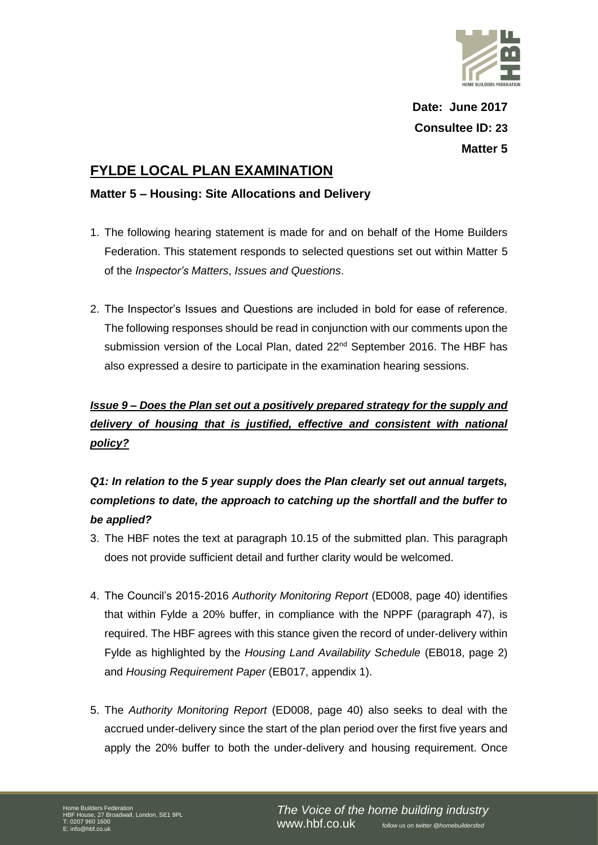

**Date: June 2017 Consultee ID: 23 Matter 5**

### **FYLDE LOCAL PLAN EXAMINATION**

### **Matter 5 – Housing: Site Allocations and Delivery**

- 1. The following hearing statement is made for and on behalf of the Home Builders Federation. This statement responds to selected questions set out within Matter 5 of the *Inspector's Matters*, *Issues and Questions*.
- 2. The Inspector's Issues and Questions are included in bold for ease of reference. The following responses should be read in conjunction with our comments upon the submission version of the Local Plan, dated 22<sup>nd</sup> September 2016. The HBF has also expressed a desire to participate in the examination hearing sessions.

# *Issue 9 – Does the Plan set out a positively prepared strategy for the supply and delivery of housing that is justified, effective and consistent with national policy?*

## *Q1: In relation to the 5 year supply does the Plan clearly set out annual targets, completions to date, the approach to catching up the shortfall and the buffer to be applied?*

- 3. The HBF notes the text at paragraph 10.15 of the submitted plan. This paragraph does not provide sufficient detail and further clarity would be welcomed.
- 4. The Council's 2015-2016 *Authority Monitoring Report* (ED008, page 40) identifies that within Fylde a 20% buffer, in compliance with the NPPF (paragraph 47), is required. The HBF agrees with this stance given the record of under-delivery within Fylde as highlighted by the *Housing Land Availability Schedule* (EB018, page 2) and *Housing Requirement Paper* (EB017, appendix 1).
- 5. The *Authority Monitoring Report* (ED008, page 40) also seeks to deal with the accrued under-delivery since the start of the plan period over the first five years and apply the 20% buffer to both the under-delivery and housing requirement. Once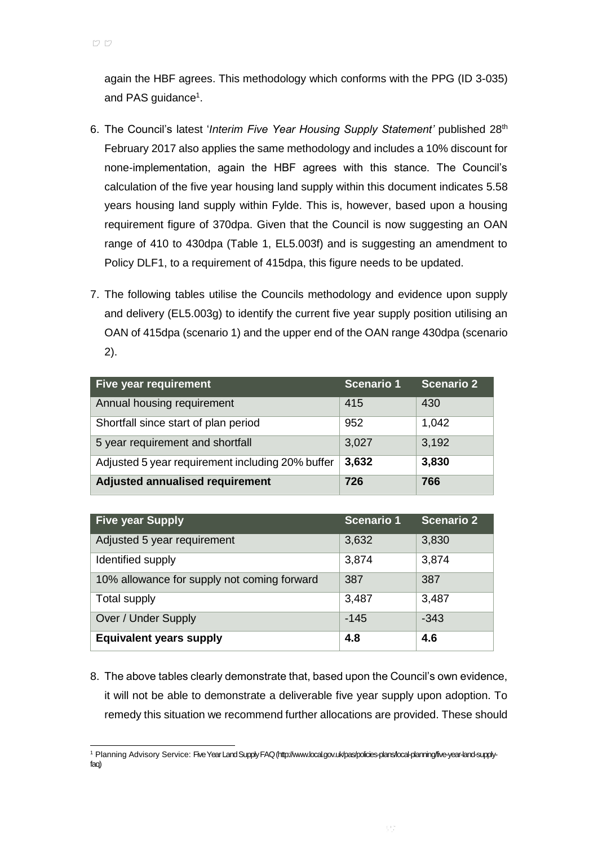again the HBF agrees. This methodology which conforms with the PPG (ID 3-035) and PAS guidance<sup>1</sup>.

- 6. The Council's latest '*Interim Five Year Housing Supply Statement'* published 28th February 2017 also applies the same methodology and includes a 10% discount for none-implementation, again the HBF agrees with this stance. The Council's calculation of the five year housing land supply within this document indicates 5.58 years housing land supply within Fylde. This is, however, based upon a housing requirement figure of 370dpa. Given that the Council is now suggesting an OAN range of 410 to 430dpa (Table 1, EL5.003f) and is suggesting an amendment to Policy DLF1, to a requirement of 415dpa, this figure needs to be updated.
- 7. The following tables utilise the Councils methodology and evidence upon supply and delivery (EL5.003g) to identify the current five year supply position utilising an OAN of 415dpa (scenario 1) and the upper end of the OAN range 430dpa (scenario 2).

| Five year requirement                            | <b>Scenario 1</b> | <b>Scenario 2</b> |
|--------------------------------------------------|-------------------|-------------------|
| Annual housing requirement                       | 415               | 430               |
| Shortfall since start of plan period             | 952               | 1,042             |
| 5 year requirement and shortfall                 | 3,027             | 3,192             |
| Adjusted 5 year requirement including 20% buffer | 3,632             | 3,830             |
| Adjusted annualised requirement                  | 726               | 766               |

| <b>Five year Supply</b>                     | <b>Scenario 1</b> | <b>Scenario 2</b> |
|---------------------------------------------|-------------------|-------------------|
| Adjusted 5 year requirement                 | 3,632             | 3,830             |
| Identified supply                           | 3,874             | 3,874             |
| 10% allowance for supply not coming forward | 387               | 387               |
| Total supply                                | 3,487             | 3,487             |
| Over / Under Supply                         | $-145$            | $-343$            |
| <b>Equivalent years supply</b>              | 4.8               | 4.6               |

8. The above tables clearly demonstrate that, based upon the Council's own evidence, it will not be able to demonstrate a deliverable five year supply upon adoption. To remedy this situation we recommend further allocations are provided. These should

l <sup>1</sup> Planning Advisory Service: Five Year Land Supply FAQ (http://www.local.gov.uk/pas/policies-plans/local-planning/five-year-land-supplyfaq)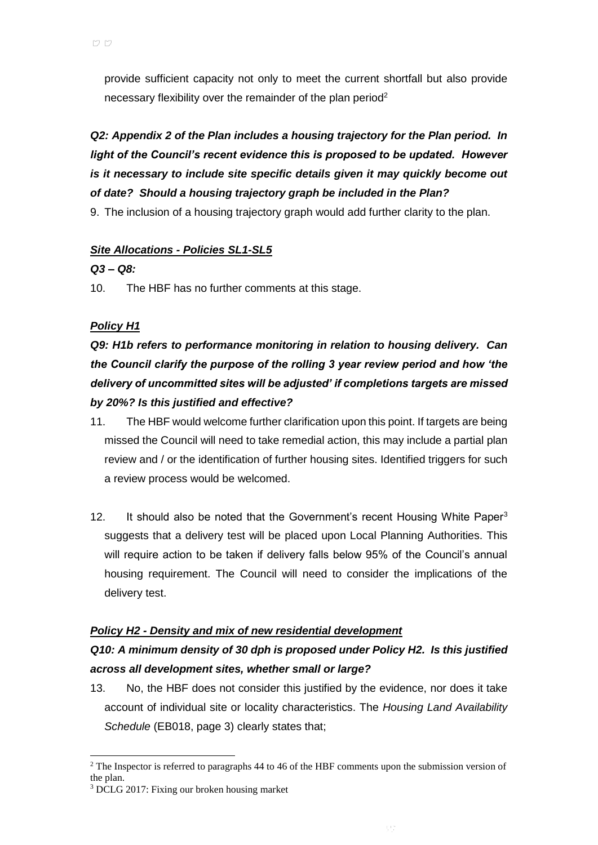provide sufficient capacity not only to meet the current shortfall but also provide necessary flexibility over the remainder of the plan period<sup>2</sup>

# *Q2: Appendix 2 of the Plan includes a housing trajectory for the Plan period. In light of the Council's recent evidence this is proposed to be updated. However is it necessary to include site specific details given it may quickly become out of date? Should a housing trajectory graph be included in the Plan?*

9. The inclusion of a housing trajectory graph would add further clarity to the plan.

### *Site Allocations - Policies SL1-SL5*

#### *Q3 – Q8:*

10. The HBF has no further comments at this stage.

### *Policy H1*

*Q9: H1b refers to performance monitoring in relation to housing delivery. Can the Council clarify the purpose of the rolling 3 year review period and how 'the delivery of uncommitted sites will be adjusted' if completions targets are missed by 20%? Is this justified and effective?*

- 11. The HBF would welcome further clarification upon this point. If targets are being missed the Council will need to take remedial action, this may include a partial plan review and / or the identification of further housing sites. Identified triggers for such a review process would be welcomed.
- 12. It should also be noted that the Government's recent Housing White Paper<sup>3</sup> suggests that a delivery test will be placed upon Local Planning Authorities. This will require action to be taken if delivery falls below 95% of the Council's annual housing requirement. The Council will need to consider the implications of the delivery test.

#### *Policy H2 - Density and mix of new residential development*

### *Q10: A minimum density of 30 dph is proposed under Policy H2. Is this justified across all development sites, whether small or large?*

13. No, the HBF does not consider this justified by the evidence, nor does it take account of individual site or locality characteristics. The *Housing Land Availability Schedule* (EB018, page 3) clearly states that;

l

<sup>&</sup>lt;sup>2</sup> The Inspector is referred to paragraphs 44 to 46 of the HBF comments upon the submission version of the plan.

<sup>3</sup> DCLG 2017: Fixing our broken housing market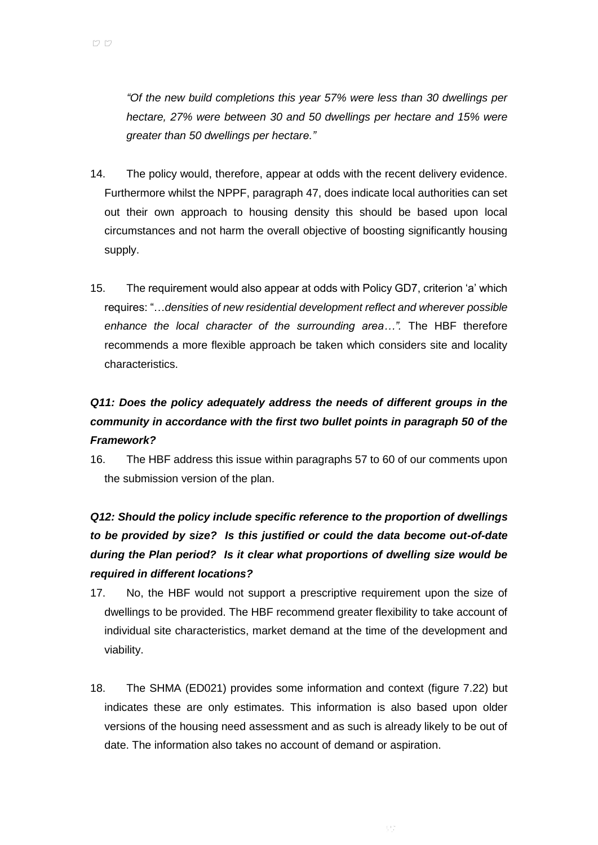*"Of the new build completions this year 57% were less than 30 dwellings per hectare, 27% were between 30 and 50 dwellings per hectare and 15% were greater than 50 dwellings per hectare."*

- 14. The policy would, therefore, appear at odds with the recent delivery evidence. Furthermore whilst the NPPF, paragraph 47, does indicate local authorities can set out their own approach to housing density this should be based upon local circumstances and not harm the overall objective of boosting significantly housing supply.
- 15. The requirement would also appear at odds with Policy GD7, criterion 'a' which requires: "…*densities of new residential development reflect and wherever possible enhance the local character of the surrounding area…".* The HBF therefore recommends a more flexible approach be taken which considers site and locality characteristics.

## *Q11: Does the policy adequately address the needs of different groups in the community in accordance with the first two bullet points in paragraph 50 of the Framework?*

16. The HBF address this issue within paragraphs 57 to 60 of our comments upon the submission version of the plan.

# *Q12: Should the policy include specific reference to the proportion of dwellings to be provided by size? Is this justified or could the data become out-of-date during the Plan period? Is it clear what proportions of dwelling size would be required in different locations?*

- 17. No, the HBF would not support a prescriptive requirement upon the size of dwellings to be provided. The HBF recommend greater flexibility to take account of individual site characteristics, market demand at the time of the development and viability.
- 18. The SHMA (ED021) provides some information and context (figure 7.22) but indicates these are only estimates. This information is also based upon older versions of the housing need assessment and as such is already likely to be out of date. The information also takes no account of demand or aspiration.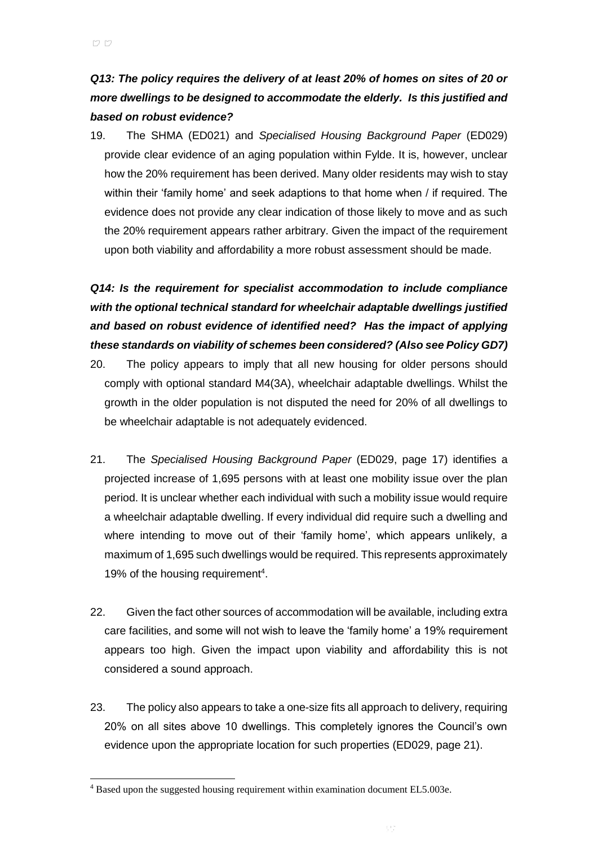### *Q13: The policy requires the delivery of at least 20% of homes on sites of 20 or more dwellings to be designed to accommodate the elderly. Is this justified and based on robust evidence?*

19. The SHMA (ED021) and *Specialised Housing Background Paper* (ED029) provide clear evidence of an aging population within Fylde. It is, however, unclear how the 20% requirement has been derived. Many older residents may wish to stay within their 'family home' and seek adaptions to that home when / if required. The evidence does not provide any clear indication of those likely to move and as such the 20% requirement appears rather arbitrary. Given the impact of the requirement upon both viability and affordability a more robust assessment should be made.

# *Q14: Is the requirement for specialist accommodation to include compliance with the optional technical standard for wheelchair adaptable dwellings justified and based on robust evidence of identified need? Has the impact of applying these standards on viability of schemes been considered? (Also see Policy GD7)*

- 20. The policy appears to imply that all new housing for older persons should comply with optional standard M4(3A), wheelchair adaptable dwellings. Whilst the growth in the older population is not disputed the need for 20% of all dwellings to be wheelchair adaptable is not adequately evidenced.
- 21. The *Specialised Housing Background Paper* (ED029, page 17) identifies a projected increase of 1,695 persons with at least one mobility issue over the plan period. It is unclear whether each individual with such a mobility issue would require a wheelchair adaptable dwelling. If every individual did require such a dwelling and where intending to move out of their 'family home', which appears unlikely, a maximum of 1,695 such dwellings would be required. This represents approximately 19% of the housing requirement<sup>4</sup>.
- 22. Given the fact other sources of accommodation will be available, including extra care facilities, and some will not wish to leave the 'family home' a 19% requirement appears too high. Given the impact upon viability and affordability this is not considered a sound approach.
- 23. The policy also appears to take a one-size fits all approach to delivery, requiring 20% on all sites above 10 dwellings. This completely ignores the Council's own evidence upon the appropriate location for such properties (ED029, page 21).

l

<sup>4</sup> Based upon the suggested housing requirement within examination document EL5.003e.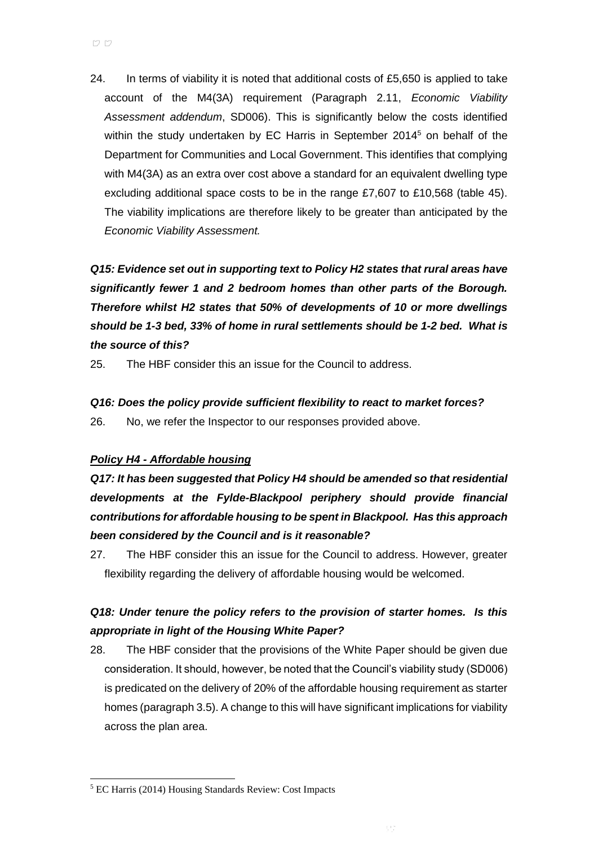24. In terms of viability it is noted that additional costs of  $£5,650$  is applied to take account of the M4(3A) requirement (Paragraph 2.11, *Economic Viability Assessment addendum*, SD006). This is significantly below the costs identified within the study undertaken by EC Harris in September 2014<sup>5</sup> on behalf of the Department for Communities and Local Government. This identifies that complying with M4(3A) as an extra over cost above a standard for an equivalent dwelling type excluding additional space costs to be in the range £7,607 to £10,568 (table 45). The viability implications are therefore likely to be greater than anticipated by the *Economic Viability Assessment.*

*Q15: Evidence set out in supporting text to Policy H2 states that rural areas have significantly fewer 1 and 2 bedroom homes than other parts of the Borough. Therefore whilst H2 states that 50% of developments of 10 or more dwellings should be 1-3 bed, 33% of home in rural settlements should be 1-2 bed. What is the source of this?*

25. The HBF consider this an issue for the Council to address.

# *Q16: Does the policy provide sufficient flexibility to react to market forces?*

26. No, we refer the Inspector to our responses provided above.

### *Policy H4 - Affordable housing*

*Q17: It has been suggested that Policy H4 should be amended so that residential developments at the Fylde-Blackpool periphery should provide financial contributions for affordable housing to be spent in Blackpool. Has this approach been considered by the Council and is it reasonable?*

27. The HBF consider this an issue for the Council to address. However, greater flexibility regarding the delivery of affordable housing would be welcomed.

### *Q18: Under tenure the policy refers to the provision of starter homes. Is this appropriate in light of the Housing White Paper?*

28. The HBF consider that the provisions of the White Paper should be given due consideration. It should, however, be noted that the Council's viability study (SD006) is predicated on the delivery of 20% of the affordable housing requirement as starter homes (paragraph 3.5). A change to this will have significant implications for viability across the plan area.

l

<sup>5</sup> EC Harris (2014) Housing Standards Review: Cost Impacts